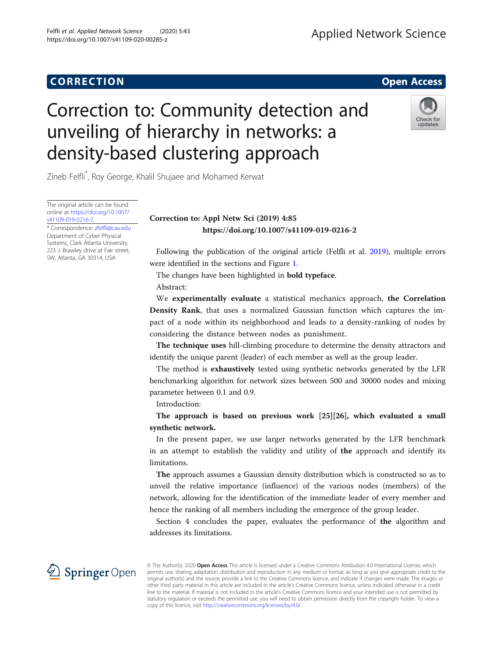## CORR EC TION Open [Access](http://crossmark.crossref.org/dialog/?doi=10.1007/s41109-020-00285-z&domain=pdf)

# Correction to: Community detection and unveiling of hierarchy in networks: a density-based clustering approach



Zineb Felfli\* , Roy George, Khalil Shujaee and Mohamed Kerwat

The original article can be found online at [https://doi.org/10.1007/](https://doi.org/10.1007/s41109-019-0216-2) [s41109-019-0216-2.](https://doi.org/10.1007/s41109-019-0216-2)

\* Correspondence: [zfelfli@cau.edu](mailto:zfelfli@cau.edu) Department of Cyber Physical Systems, Clark Atlanta University, 223 J. Brawley drive at Fair street, SW, Atlanta, GA 30314, USA

## Correction to: Appl Netw Sci (2019) 4:85 https://doi.org/10.1007/s41109-019-0216-2

Following the publication of the original article (Felfli et al. [2019](#page-1-0)), multiple errors were identified in the sections and Figure [1](#page-1-0).

The changes have been highlighted in bold typeface.

Abstract:

We experimentally evaluate a statistical mechanics approach, the Correlation Density Rank, that uses a normalized Gaussian function which captures the impact of a node within its neighborhood and leads to a density-ranking of nodes by considering the distance between nodes as punishment.

The technique uses hill-climbing procedure to determine the density attractors and identify the unique parent (leader) of each member as well as the group leader.

The method is exhaustively tested using synthetic networks generated by the LFR benchmarking algorithm for network sizes between 500 and 30000 nodes and mixing parameter between 0.1 and 0.9.

Introduction:

The approach is based on previous work [25][26], which evaluated a small synthetic network.

In the present paper, we use larger networks generated by the LFR benchmark in an attempt to establish the validity and utility of the approach and identify its limitations.

The approach assumes a Gaussian density distribution which is constructed so as to unveil the relative importance (influence) of the various nodes (members) of the network, allowing for the identification of the immediate leader of every member and hence the ranking of all members including the emergence of the group leader.

Section 4 concludes the paper, evaluates the performance of the algorithm and addresses its limitations.



© The Author(s). 2020 Open Access This article is licensed under a Creative Commons Attribution 4.0 International License, which permits use, sharing, adaptation, distribution and reproduction in any medium or format, as long as you give appropriate credit to the original author(s) and the source, provide a link to the Creative Commons licence, and indicate if changes were made. The images or other third party material in this article are included in the article's Creative Commons licence, unless indicated otherwise in a credit line to the material. If material is not included in the article's Creative Commons licence and your intended use is not permitted by statutory regulation or exceeds the permitted use, you will need to obtain permission directly from the copyright holder. To view a copy of this licence, visit <http://creativecommons.org/licenses/by/4.0/>.